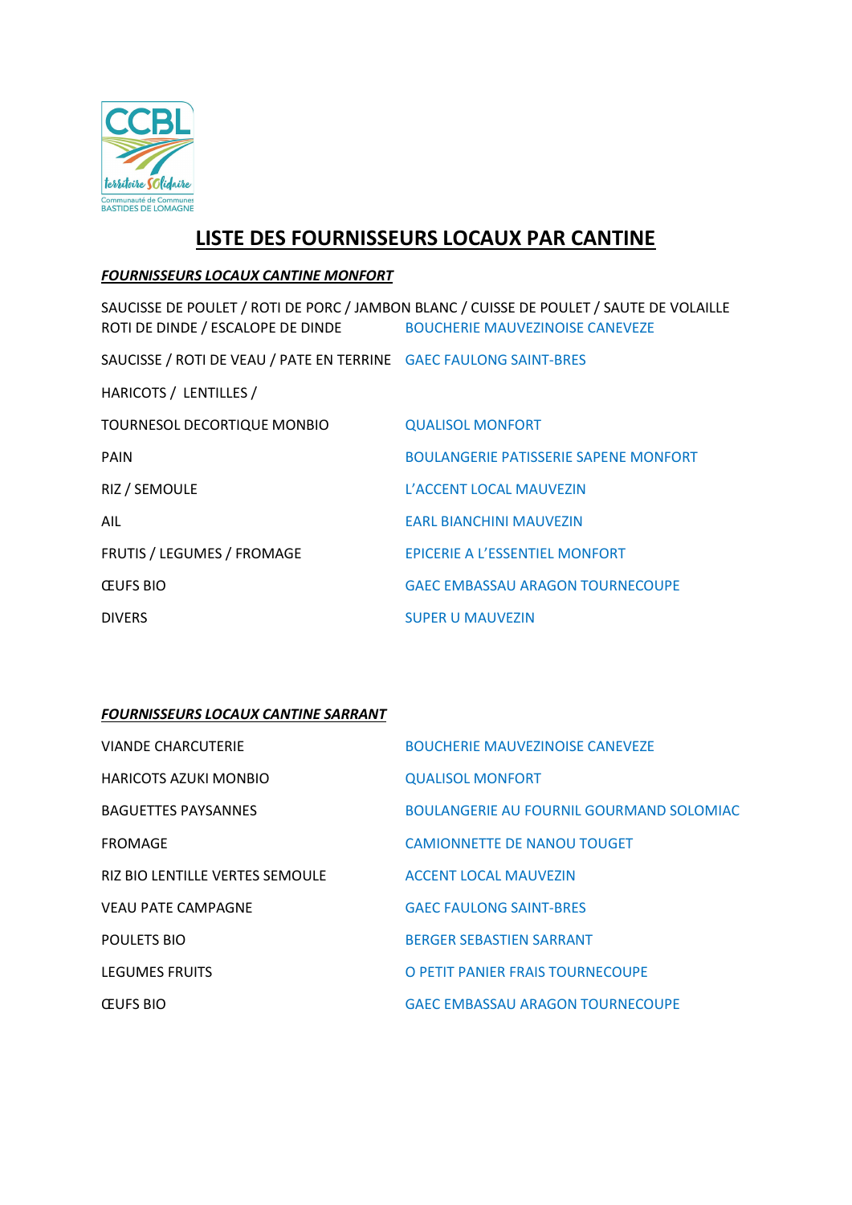

# LISTE DES FOURNISSEURS LOCAUX PAR CANTINE

### FOURNISSEURS LOCAUX CANTINE MONFORT

SAUCISSE DE POULET / ROTI DE PORC / JAMBON BLANC / CUISSE DE POULET / SAUTE DE VOLAILLE ROTI DE DINDE / ESCALOPE DE DINDE BOUCHERIE MAUVEZINOISE CANEVEZE SAUCISSE / ROTI DE VEAU / PATE EN TERRINE GAEC FAULONG SAINT-BRES HARICOTS / LENTILLES / TOURNESOL DECORTIQUE MONBIO QUALISOL MONFORT PAIN BOULANGERIE PATISSERIE SAPENE MONFORT RIZ / SEMOULE L'ACCENT LOCAL MAUVEZIN AIL EARL BIANCHINI MAUVEZIN FRUTIS / LEGUMES / FROMAGE EPICERIE A L'ESSENTIEL MONFORT ŒUFS BIO GAEC EMBASSAU ARAGON TOURNECOUPE DIVERS SUPER U MAUVEZIN

# FOURNISSEURS LOCAUX CANTINE SARRANT

| VIANDE CHARCUTERIE                     | <b>BOUCHERIE MAUVEZINOISE CANEVEZE</b>          |
|----------------------------------------|-------------------------------------------------|
| HARICOTS AZUKI MONBIO                  | <b>QUALISOL MONFORT</b>                         |
| <b>BAGUETTES PAYSANNES</b>             | <b>BOULANGERIE AU FOURNIL GOURMAND SOLOMIAC</b> |
| <b>FROMAGE</b>                         | <b>CAMIONNETTE DE NANOU TOUGET</b>              |
| <b>RIZ BIO LENTILLE VERTES SEMOULE</b> | ACCENT LOCAL MAUVEZIN                           |
| <b>VEAU PATE CAMPAGNE</b>              | <b>GAEC FAULONG SAINT-BRES</b>                  |
| POULETS BIO                            | <b>BERGER SEBASTIEN SARRANT</b>                 |
| <b>LEGUMES FRUITS</b>                  | O PETIT PANIER FRAIS TOURNECOUPE                |
| <b>CEUFS BIO</b>                       | <b>GAEC EMBASSAU ARAGON TOURNECOUPE</b>         |